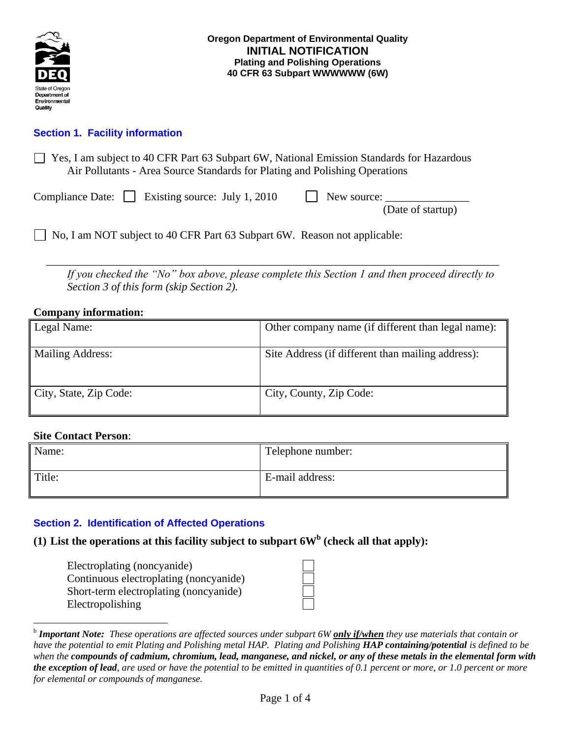

# **Section 1. Facility information**

| $\Box$ Yes, I am subject to 40 CFR Part 63 Subpart 6W, National Emission Standards for Hazardous |
|--------------------------------------------------------------------------------------------------|
| Air Pollutants - Area Source Standards for Plating and Polishing Operations                      |

|  | Compliance Date: $\Box$ Existing source: July 1, 2010 | New source: |  |
|--|-------------------------------------------------------|-------------|--|
|--|-------------------------------------------------------|-------------|--|

(Date of startup)

No, I am NOT subject to 40 CFR Part 63 Subpart 6W. Reason not applicable:

\_\_\_\_\_\_\_\_\_\_\_\_\_\_\_\_\_\_\_\_\_\_\_\_\_\_\_\_\_\_\_\_\_\_\_\_\_\_\_\_\_\_\_\_\_\_\_\_\_\_\_\_\_\_\_\_\_\_\_\_\_\_\_\_\_\_\_\_\_\_\_\_\_\_\_\_\_\_\_\_\_ *If you checked the "No" box above, please complete this Section 1 and then proceed directly to Section 3 of this form (skip Section 2).*

### **Company information:**

| Legal Name:            | Other company name (if different than legal name): |
|------------------------|----------------------------------------------------|
| Mailing Address:       | Site Address (if different than mailing address):  |
| City, State, Zip Code: | City, County, Zip Code:                            |

#### **Site Contact Person**:

 $\overline{a}$ 

| Name:  | Telephone number: |
|--------|-------------------|
| Title: | E-mail address:   |

# **Section 2. Identification of Affected Operations**

# **(1) List the operations at this facility subject to subpart 6W<sup>b</sup> (check all that apply):**

Electroplating (noncyanide) Continuous electroplating (noncyanide) Short-term electroplating (noncyanide) Electropolishing

b *Important Note: These operations are affected sources under subpart 6W only if/when they use materials that contain or have the potential to emit Plating and Polishing metal HAP. Plating and Polishing HAP containing/potential is defined to be when the compounds of cadmium, chromium, lead, manganese, and nickel, or any of these metals in the elemental form with the exception of lead, are used or have the potential to be emitted in quantities of 0.1 percent or more, or 1.0 percent or more for elemental or compounds of manganese.*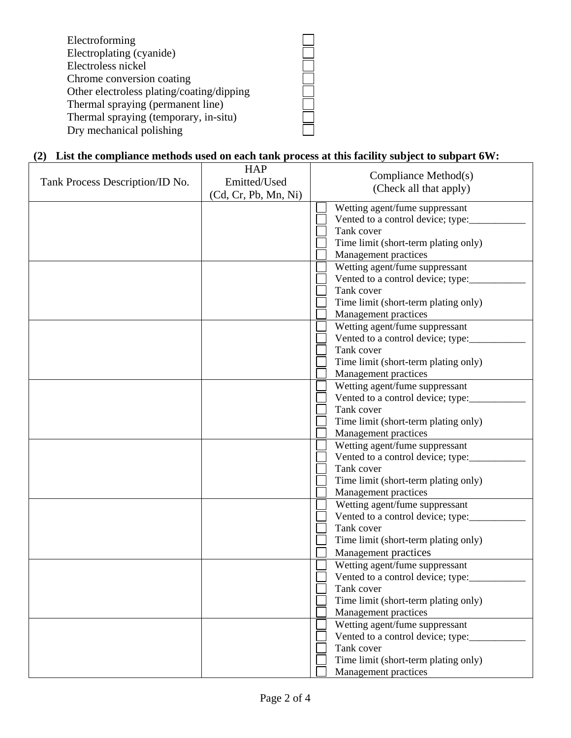| Electroforming                            |  |
|-------------------------------------------|--|
| Electroplating (cyanide)                  |  |
| Electroless nickel                        |  |
| Chrome conversion coating                 |  |
| Other electroless plating/coating/dipping |  |
| Thermal spraying (permanent line)         |  |
| Thermal spraying (temporary, in-situ)     |  |
| Dry mechanical polishing                  |  |

### **(2) List the compliance methods used on each tank process at this facility subject to subpart 6W:**

| Tank Process Description/ID No. | <b>HAP</b><br>Emitted/Used<br>(Cd, Cr, Pb, Mn, Ni) | Compliance Method(s)<br>(Check all that apply)                                                                                                       |
|---------------------------------|----------------------------------------------------|------------------------------------------------------------------------------------------------------------------------------------------------------|
|                                 |                                                    | Wetting agent/fume suppressant<br>Vented to a control device; type:<br>Tank cover<br>Time limit (short-term plating only)<br>Management practices    |
|                                 |                                                    | Wetting agent/fume suppressant<br>Vented to a control device; type:<br>Tank cover<br>Time limit (short-term plating only)<br>Management practices    |
|                                 |                                                    | Wetting agent/fume suppressant<br>Vented to a control device; type:<br>Tank cover<br>Time limit (short-term plating only)<br>Management practices    |
|                                 |                                                    | Wetting agent/fume suppressant<br>Vented to a control device; type:<br>Tank cover<br>Time limit (short-term plating only)<br>Management practices    |
|                                 |                                                    | Wetting agent/fume suppressant<br>Vented to a control device; type:___<br>Tank cover<br>Time limit (short-term plating only)<br>Management practices |
|                                 |                                                    | Wetting agent/fume suppressant<br>Vented to a control device; type:<br>Tank cover<br>Time limit (short-term plating only)<br>Management practices    |
|                                 |                                                    | Wetting agent/fume suppressant<br>Vented to a control device; type:<br>Tank cover<br>Time limit (short-term plating only)<br>Management practices    |
|                                 |                                                    | Wetting agent/fume suppressant<br>Vented to a control device; type:<br>Tank cover<br>Time limit (short-term plating only)<br>Management practices    |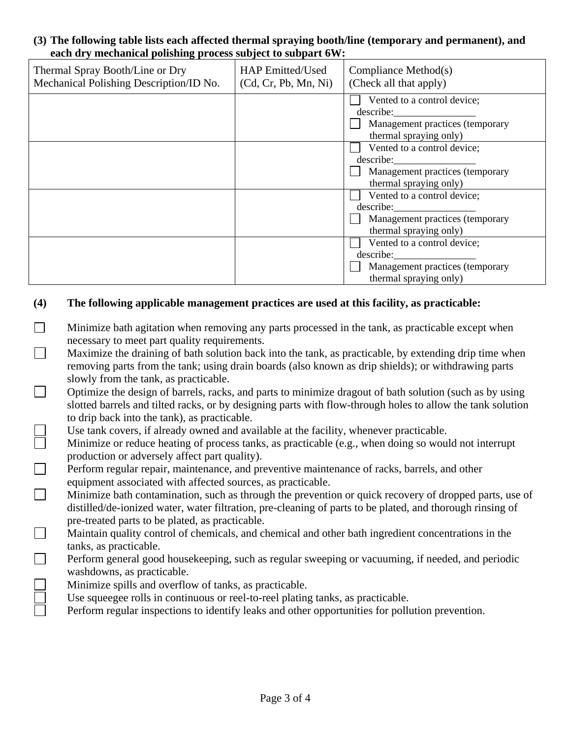#### **(3) The following table lists each affected thermal spraying booth/line (temporary and permanent), and each dry mechanical polishing process subject to subpart 6W:**

| Thermal Spray Booth/Line or Dry<br>Mechanical Polishing Description/ID No. | <b>HAP Emitted/Used</b><br>(Cd, Cr, Pb, Mn, Ni) | Compliance Method(s)<br>(Check all that apply)                                                        |
|----------------------------------------------------------------------------|-------------------------------------------------|-------------------------------------------------------------------------------------------------------|
|                                                                            |                                                 | Vented to a control device;<br>describe:<br>Management practices (temporary<br>thermal spraying only) |
|                                                                            |                                                 | Vented to a control device;<br>describe:<br>Management practices (temporary<br>thermal spraying only) |
|                                                                            |                                                 | Vented to a control device;<br>describe:<br>Management practices (temporary<br>thermal spraying only) |
|                                                                            |                                                 | Vented to a control device;<br>describe:<br>Management practices (temporary<br>thermal spraying only) |

# **(4) The following applicable management practices are used at this facility, as practicable:**

- $\Box$ Minimize bath agitation when removing any parts processed in the tank, as practicable except when necessary to meet part quality requirements.
- $\Box$ Maximize the draining of bath solution back into the tank, as practicable, by extending drip time when removing parts from the tank; using drain boards (also known as drip shields); or withdrawing parts slowly from the tank, as practicable.
- $\overline{\phantom{a}}$ Optimize the design of barrels, racks, and parts to minimize dragout of bath solution (such as by using slotted barrels and tilted racks, or by designing parts with flow-through holes to allow the tank solution to drip back into the tank), as practicable.
- $\Box$ Use tank covers, if already owned and available at the facility, whenever practicable.
	- Minimize or reduce heating of process tanks, as practicable (e.g., when doing so would not interrupt production or adversely affect part quality).
- $\Box$ Perform regular repair, maintenance, and preventive maintenance of racks, barrels, and other equipment associated with affected sources, as practicable.
- $\Box$ Minimize bath contamination, such as through the prevention or quick recovery of dropped parts, use of distilled/de-ionized water, water filtration, pre-cleaning of parts to be plated, and thorough rinsing of pre-treated parts to be plated, as practicable.
- $\Box$ Maintain quality control of chemicals, and chemical and other bath ingredient concentrations in the tanks, as practicable.
- $\Box$ Perform general good housekeeping, such as regular sweeping or vacuuming, if needed, and periodic washdowns, as practicable.
- $\Box$ Minimize spills and overflow of tanks, as practicable.
	- Use squeegee rolls in continuous or reel-to-reel plating tanks, as practicable.
	- Perform regular inspections to identify leaks and other opportunities for pollution prevention.